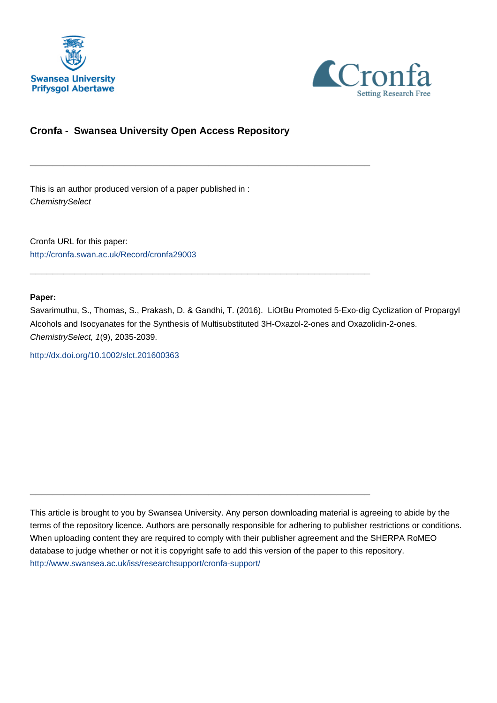



## **Cronfa - Swansea University Open Access Repository**

\_\_\_\_\_\_\_\_\_\_\_\_\_\_\_\_\_\_\_\_\_\_\_\_\_\_\_\_\_\_\_\_\_\_\_\_\_\_\_\_\_\_\_\_\_\_\_\_\_\_\_\_\_\_\_\_\_\_\_\_\_

 $\_$  , and the set of the set of the set of the set of the set of the set of the set of the set of the set of the set of the set of the set of the set of the set of the set of the set of the set of the set of the set of th

\_\_\_\_\_\_\_\_\_\_\_\_\_\_\_\_\_\_\_\_\_\_\_\_\_\_\_\_\_\_\_\_\_\_\_\_\_\_\_\_\_\_\_\_\_\_\_\_\_\_\_\_\_\_\_\_\_\_\_\_\_

This is an author produced version of a paper published in : **ChemistrySelect** 

Cronfa URL for this paper: <http://cronfa.swan.ac.uk/Record/cronfa29003>

#### **Paper:**

Savarimuthu, S., Thomas, S., Prakash, D. & Gandhi, T. (2016). LiOtBu Promoted 5-Exo-dig Cyclization of Propargyl Alcohols and Isocyanates for the Synthesis of Multisubstituted 3H-Oxazol-2-ones and Oxazolidin-2-ones. ChemistrySelect, 1(9), 2035-2039.

<http://dx.doi.org/10.1002/slct.201600363>

This article is brought to you by Swansea University. Any person downloading material is agreeing to abide by the terms of the repository licence. Authors are personally responsible for adhering to publisher restrictions or conditions. When uploading content they are required to comply with their publisher agreement and the SHERPA RoMEO database to judge whether or not it is copyright safe to add this version of the paper to this repository. [http://www.swansea.ac.uk/iss/researchsupport/cronfa-support/](http://www.swansea.ac.uk/iss/researchsupport/cronfa-support/ )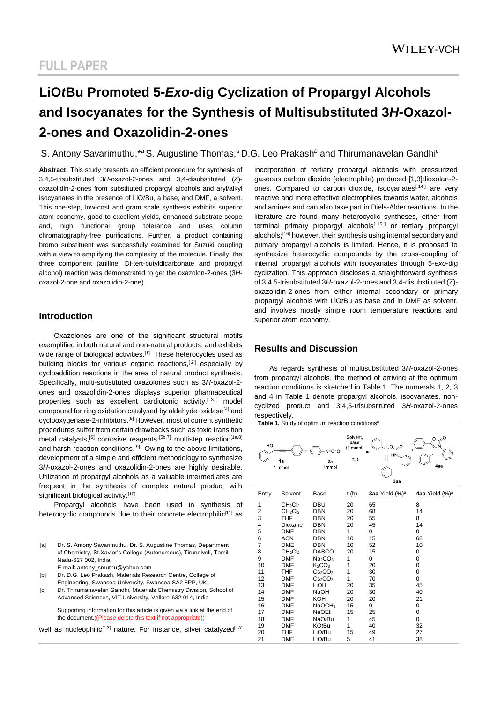# **LiO***t***Bu Promoted 5-***Exo***-dig Cyclization of Propargyl Alcohols and Isocyanates for the Synthesis of Multisubstituted 3***H***-Oxazol-2-ones and Oxazolidin-2-ones**

### S. Antony Savarimuthu,\**<sup>a</sup>*S. Augustine Thomas,*<sup>a</sup>*D.G. Leo Prakash*<sup>b</sup>* and Thirumanavelan Gandhi*<sup>c</sup>*

**Abstract:** This study presents an efficient procedure for synthesis of 3,4,5-trisubstituted 3*H*-oxazol-2-ones and 3,4-disubstituted (Z) oxazolidin-2-ones from substituted propargyl alcohols and aryl/alkyl isocyanates in the presence of LiO*t*Bu, a base, and DMF, a solvent. This one-step, low-cost and gram scale synthesis exhibits superior atom economy, good to excellent yields, enhanced substrate scope and, high functional group tolerance and uses column chromatography-free purifications. Further, a product containing bromo substituent was successfully examined for Suzuki coupling with a view to amplifying the complexity of the molecule. Finally, the three component (aniline, Di-tert-butyldicarbonate and propargyl alcohol) reaction was demonstrated to get the oxazolon-2-ones (3*H*oxazol-2-one and oxazolidin-2-one).

#### **Introduction**

Oxazolones are one of the significant structural motifs exemplified in both natural and non-natural products, and exhibits wide range of biological activities.<sup>[1]</sup> These heterocycles used as building blocks for various organic reactions.<sup>[2]</sup> especially by cycloaddition reactions in the area of natural product synthesis. Specifically, multi-substituted oxazolones such as 3*H*-oxazol-2 ones and oxazolidin-2-ones displays superior pharmaceutical properties such as excellent cardiotonic activity.<sup>[3]</sup> model compound for ring oxidation catalysed by aldehyde oxidase<sup>[4]</sup> and cyclooxygenase-2-inhibitors.[5] However, most of current synthetic procedures suffer from certain drawbacks such as toxic transition metal catalysts,<sup>[6]</sup> corrosive reagents,<sup>[5b,7]</sup> multistep reaction<sup>[1a,8]</sup> and harsh reaction conditions.<sup>[9]</sup> Owing to the above limitations, development of a simple and efficient methodology to synthesize 3*H*-oxazol-2-ones and oxazolidin-2-ones are highly desirable. Utilization of propargyl alcohols as a valuable intermediates are frequent in the synthesis of complex natural product with significant biological activity.<sup>[10]</sup>

Propargyl alcohols have been used in synthesis of heterocyclic compounds due to their concrete electrophilic<sup>[11]</sup> as

| Dr. S. Antony Savarimuthu, Dr. S. Augustine Thomas, Department      |
|---------------------------------------------------------------------|
| of Chemistry, St. Xavier's College (Autonomous), Tirunelveli, Tamil |
| Nadu-627 002. India                                                 |
| E-mail: antony smuthu@yahoo.com                                     |
|                                                                     |

```
[b] Dr. D.G. Leo Prakash, Materials Research Centre, College of
Engineering, Swansea University, Swansea SA2 8PP, UK
```
[c] Dr. Thirumanavelan Gandhi, Materials Chemistry Division, School of Advanced Sciences, VIT University, Vellore-632 014, India

Supporting information for this article is given via a link at the end of the document.((Please delete this text if not appropriate))

well as nucleophilic<sup>[12]</sup> nature. For instance, silver catalyzed<sup>[13]</sup>

incorporation of tertiary propargyl alcohols with pressurized gaseous carbon dioxide (electrophile) produced [1,3]dioxolan-2 ones. Compared to carbon dioxide, isocyanates<sup>[14]</sup> are very reactive and more effective electrophiles towards water, alcohols and amines and can also take part in Diels-Alder reactions. In the literature are found many heterocyclic syntheses, either from terminal primary propargyl alcohols<sup>[15]</sup> or tertiary propargyl alcohols;[16] however, their synthesis using internal secondary and primary propargyl alcohols is limited. Hence, it is proposed to synthesize heterocyclic compounds by the cross-coupling of internal propargyl alcohols with isocyanates through 5-*exo*-dig cyclization. This approach discloses a straightforward synthesis of 3,4,5-trisubstituted 3*H*-oxazol-2-ones and 3,4-disubstituted (Z) oxazolidin-2-ones from either internal secondary or primary propargyl alcohols with LiO*t*Bu as base and in DMF as solvent, and involves mostly simple room temperature reactions and superior atom economy.

#### **Results and Discussion**

As regards synthesis of multisubstituted 3*H*-oxazol-2-ones from propargyl alcohols, the method of arriving at the optimum reaction conditions is sketched in Table 1. The numerals 1, 2, 3 and 4 in Table 1 denote propargyl alcohols, isocyanates, noncyclized product and 3,4,5-trisubstituted 3*H*-oxazol-2-ones respectively.

Table 1. Study of optimum reaction conditions<sup>a</sup> Solvent base<br>N=C=O <u>(1 mmo**l)** –</u>N=C=O 2a<br><sub>1mmol</sub>  $rt, t$  $1a$ 1 mmol

|       |                                 |                                 |      | Jaa                |                            |
|-------|---------------------------------|---------------------------------|------|--------------------|----------------------------|
| Entry | Solvent                         | Base                            | t(h) | 3aa Yield $(\%)^a$ | 4aa Yield (%) <sup>a</sup> |
| 1     | CH <sub>2</sub> Cl <sub>2</sub> | DBU                             | 20   | 65                 | 8                          |
| 2     | CH <sub>2</sub> Cl <sub>2</sub> | DBN                             | 20   | 68                 | 14                         |
| 3     | THF                             | DBN                             | 20   | 55                 | 8                          |
| 4     | Dioxane                         | DBN                             | 20   | 45                 | 14                         |
| 5     | <b>DMF</b>                      | DBN                             | 1    | 0                  | 0                          |
| 6     | <b>ACN</b>                      | DBN                             | 10   | 15                 | 68                         |
| 7     | <b>DME</b>                      | DBN                             | 10   | 52                 | 10                         |
| 8     | CH <sub>2</sub> Cl <sub>2</sub> | DABCO                           | 20   | 15                 | 0                          |
| 9     | <b>DMF</b>                      | Na <sub>2</sub> CO <sub>3</sub> | 1    | 0                  | 0                          |
| 10    | <b>DMF</b>                      | $K_2CO_3$                       | 1    | 20                 | 0                          |
| 11    | THF                             | Cs <sub>2</sub> CO <sub>3</sub> | 1    | 30                 | 0                          |
| 12    | <b>DMF</b>                      | Cs <sub>2</sub> CO <sub>3</sub> | 1    | 70                 | 0                          |
| 13    | <b>DMF</b>                      | LIOH                            | 20   | 35                 | 45                         |
| 14    | <b>DMF</b>                      | <b>NaOH</b>                     | 20   | 30                 | 40                         |
| 15    | <b>DMF</b>                      | KOH                             | 20   | 20                 | 21                         |
| 16    | <b>DMF</b>                      | NaOCH <sub>3</sub>              | 15   | 0                  | 0                          |
| 17    | <b>DMF</b>                      | <b>NaOEt</b>                    | 15   | 25                 | 0                          |
| 18    | <b>DMF</b>                      | NaOtBu                          | 1    | 45                 | 0                          |
| 19    | <b>DMF</b>                      | KO <i>t</i> Bu                  | 1    | 40                 | 32                         |
| 20    | THF                             | LiO <i>t</i> Bu                 | 15   | 49                 | 27                         |
| 21    | DME                             | LiO <i>t</i> Bu                 | 5    | 41                 | 38                         |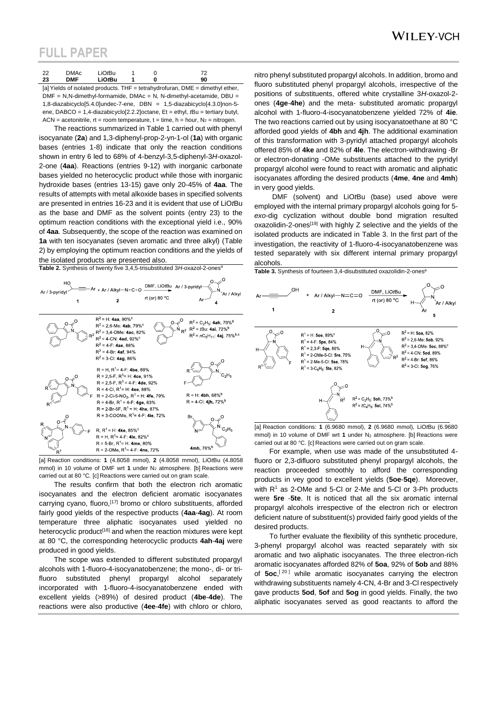### **WILEY-VCH**

# **FULL PAPER**

| <b>DMAc</b><br>்்∩சிப<br>ററ<br><u>__</u><br><b>DMF</b><br>LiO <i>t</i> Bu<br>າາ<br>90<br>دے | ,, |
|---------------------------------------------------------------------------------------------|----|
|---------------------------------------------------------------------------------------------|----|

[a] Yields of isolated products. THF = tetrahydrofuran, DME = dimethyl ether, DMF = N,N-dimethyl-formamide, DMAc = N, N-dimethyl-acetamide, DBU = 1,8-diazabicyclo[5.4.0]undec-7-ene, DBN = 1,5-diazabicyclo[4.3.0]non-5 ene, DABCO = 1,4-diazabicyclo[2.2.2]octane, Et = ethyl, *t*Bu = tertiary butyl, ACN = acetonitrile, rt = room temperature, t = time, h = hour,  $N_2$  = nitrogen.

The reactions summarized in Table 1 carried out with phenyl isocyanate (**2a**) and 1,3-diphenyl-prop-2-yn-1-ol (**1a**) with organic bases (entries 1-8) indicate that only the reaction conditions shown in entry 6 led to 68% of 4-benzyl-3,5-diphenyl-3*H*-oxazol-2-one (**4aa**). Reactions (entries 9-12) with inorganic carbonate bases yielded no heterocyclic product while those with inorganic hydroxide bases (entries 13-15) gave only 20-45% of **4aa**. The results of attempts with metal alkoxide bases in specified solvents are presented in entries 16-23 and it is evident that use of LiO*t*Bu as the base and DMF as the solvent points (entry 23) to the optimum reaction conditions with the exceptional yield i.e., 90% of **4aa**. Subsequently, the scope of the reaction was examined on **1a** with ten isocyanates (seven aromatic and three alkyl) (Table 2) by employing the optimum reaction conditions and the yields of the isolated products are presented also.

**Table 2.** Synthesis of twenty five 3.4.5-trisubstituted 3H-oxazol-2-ones<sup>®</sup>



[a] Reaction conditions: **1** (4.8058 mmol), **2** (4.8058 mmol), LiO*t*Bu (4.8058 mmol) in 10 volume of DMF wrt 1 under N<sub>2</sub> atmosphere. [b] Reactions were carried out at 80 °C. [c] Reactions were carried out on gram scale.

The results confirm that both the electron rich aromatic isocyanates and the electron deficient aromatic isocyanates carrying cyano, fluoro,<sup>[17]</sup> bromo or chloro substituents, afforded fairly good yields of the respective products (**4aa**-**4ag**). At room temperature three aliphatic isocyanates used yielded no heterocyclic product<sup>[18]</sup> and when the reaction mixtures were kept at 80 °C, the corresponding heterocyclic products **4ah**-**4aj** were produced in good yields.

The scope was extended to different substituted propargyl alcohols with 1-fluoro-4-isocyanatobenzene; the mono-, di- or trifluoro substituted phenyl propargyl alcohol separately incorporated with 1-fluoro-4-isocyanatobenzene ended with excellent yields (>89%) of desired product (**4be**-**4de**). The reactions were also productive (**4ee**-**4fe**) with chloro or chloro,

nitro phenyl substituted propargyl alcohols. In addition, bromo and fluoro substituted phenyl propargyl alcohols, irrespective of the positions of substituents, offered white crystalline 3*H*-oxazol-2 ones (**4ge**-**4he**) and the meta- substituted aromatic propargyl alcohol with 1-fluoro-4-isocyanatobenzene yielded 72% of **4ie**. The two reactions carried out by using isocyanatoethane at 80 °C afforded good yields of **4bh** and **4jh**. The additional examination of this transformation with 3-pyridyl attached propargyl alcohols offered 85% of **4ke** and 82% of **4le**. The electron-withdrawing -Br or electron-donating -OMe substituents attached to the pyridyl propargyl alcohol were found to react with aromatic and aliphatic isocyanates affording the desired products (**4me**, **4ne** and **4mh**) in very good yields.

DMF (solvent) and LiO*t*Bu (base) used above were employed with the internal primary propargyl alcohols going for 5 *exo*-dig cyclization without double bond migration resulted oxazolidin-2-ones<sup>[19]</sup> with highly  $Z$  selective and the yields of the isolated products are indicated in Table 3. In the first part of the investigation, the reactivity of 1-fluoro-4-isocyanatobenzene was tested separately with six different internal primary propargyl alcohols.



mmol) in 10 volume of DMF wrt 1 under N<sub>2</sub> atmosphere. [b] Reactions were carried out at 80 °C. [c] Reactions were carried out on gram scale.

For example, when use was made of the unsubstituted 4 fluoro or 2,3-difluoro substituted phenyl propargyl alcohols, the reaction proceeded smoothly to afford the corresponding products in vey good to excellent yields (**5oe**-**5qe**). Moreover, with  $R<sup>1</sup>$  as 2-OMe and 5-Cl or 2-Me and 5-Cl or 3-Ph products were **5re** -**5te**. It is noticed that all the six aromatic internal propargyl alcohols irrespective of the electron rich or electron deficient nature of substituent(s) provided fairly good yields of the desired products.

To further evaluate the flexibility of this synthetic procedure, 3-phenyl propargyl alcohol was reacted separately with six aromatic and two aliphatic isocyanates. The three electron-rich aromatic isocyanates afforded 82% of **5oa**, 92% of **5ob** and 88% of **5oc**,<sup>[20]</sup> while aromatic isocyanates carrying the electron withdrawing substituents namely 4-CN, 4-Br and 3-Cl respectively gave products **5od**, **5of** and **5og** in good yields. Finally, the two aliphatic isocyanates served as good reactants to afford the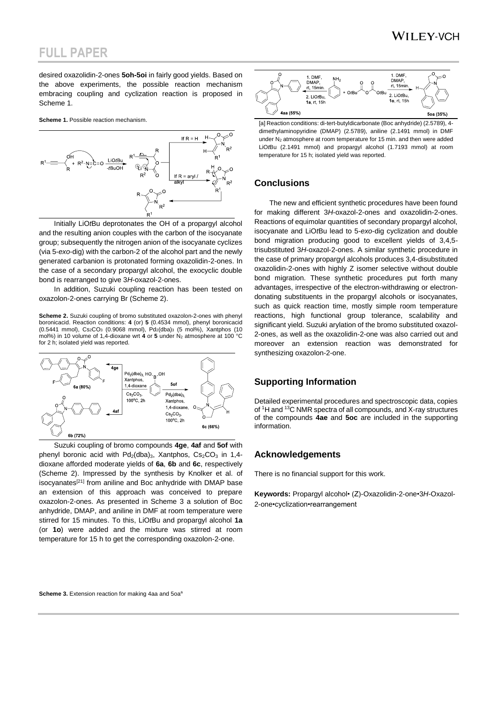## **WILEY-VCH**

## **FULL PAPER**

desired oxazolidin-2-ones **5oh-5oi** in fairly good yields. Based on the above experiments, the possible reaction mechanism embracing coupling and cyclization reaction is proposed in Scheme 1.

**Scheme 1.** Possible reaction mechanism.



Initially LiO*t*Bu deprotonates the OH of a propargyl alcohol and the resulting anion couples with the carbon of the isocyanate group; subsequently the nitrogen anion of the isocyanate cyclizes (via 5-*exo*-dig) with the carbon-2 of the alcohol part and the newly generated carbanion is protonated forming oxazolidin-2-ones. In the case of a secondary propargyl alcohol, the exocyclic double bond is rearranged to give 3*H*-oxazol-2-ones.

In addition, Suzuki coupling reaction has been tested on oxazolon-2-ones carrying Br (Scheme 2).

**Scheme 2.** Suzuki coupling of bromo substituted oxazolon-2-ones with phenyl boronicacid. Reaction conditions: **4** (or) **5** (0.4534 mmol), phenyl boronicacid (0.5441 mmol), Cs<sub>2</sub>CO<sub>3</sub> (0.9068 mmol), Pd<sub>2</sub>(dba)<sub>3</sub> (5 mol%), Xantphos (10 mol%) in 10 volume of 1,4-dioxane wrt **4** or 5 under N<sub>2</sub> atmosphere at 100 °C for 2 h; isolated yield was reported.



Suzuki coupling of bromo compounds **4ge**, **4af** and **5of** with phenyl boronic acid with  $Pd_2$ (dba)<sub>3</sub>, Xantphos, Cs<sub>2</sub>CO<sub>3</sub> in 1,4dioxane afforded moderate yields of **6a**, **6b** and **6c**, respectively (Scheme 2). Impressed by the synthesis by Knolker et al. of isocyanates<sup>[21]</sup> from aniline and Boc anhydride with DMAP base an extension of this approach was conceived to prepare oxazolon-2-ones. As presented in Scheme 3 a solution of Boc anhydride, DMAP, and aniline in DMF at room temperature were stirred for 15 minutes. To this, LiO*t*Bu and propargyl alcohol **1a** (or **1o**) were added and the mixture was stirred at room temperature for 15 h to get the corresponding oxazolon-2-one.



[a] Reaction conditions: di-tert-butyldicarbonate (Boc anhydride) (2.5789), 4 dimethylaminopyridine (DMAP) (2.5789), aniline (2.1491 mmol) in DMF under  $N_2$  atmosphere at room temperature for 15 min. and then were added LiO*t*Bu (2.1491 mmol) and propargyl alcohol (1.7193 mmol) at room temperature for 15 h; isolated yield was reported.

#### **Conclusions**

The new and efficient synthetic procedures have been found for making different 3*H*-oxazol-2-ones and oxazolidin-2-ones. Reactions of equimolar quantities of secondary propargyl alcohol, isocyanate and LiO*t*Bu lead to 5-*exo*-dig cyclization and double bond migration producing good to excellent yields of 3,4,5 trisubstituted 3*H*-oxazol-2-ones. A similar synthetic procedure in the case of primary propargyl alcohols produces 3,4-disubstituted oxazolidin-2-ones with highly Z isomer selective without double bond migration. These synthetic procedures put forth many advantages, irrespective of the electron-withdrawing or electrondonating substituents in the propargyl alcohols or isocyanates, such as quick reaction time, mostly simple room temperature reactions, high functional group tolerance, scalability and significant yield. Suzuki arylation of the bromo substituted oxazol-2-ones, as well as the oxazolidin-2-one was also carried out and moreover an extension reaction was demonstrated for synthesizing oxazolon-2-one.

### **Supporting Information**

Detailed experimental procedures and spectroscopic data, copies of <sup>1</sup>H and <sup>13</sup>C NMR spectra of all compounds, and X-ray structures of the compounds **4ae** and **5oc** are included in the supporting information.

#### **Acknowledgements**

There is no financial support for this work.

**Keywords:** Propargyl alcohol• (Z)-Oxazolidin-2-one•3*H*-Oxazol-2-one•cyclization•rearrangement

**Scheme 3.** Extension reaction for making 4aa and 5oa<sup>6</sup>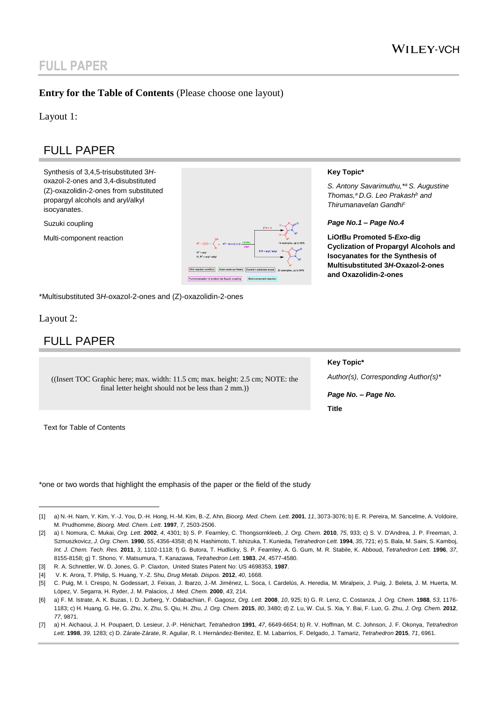# **FULL PAPER**

### **Entry for the Table of Contents** (Please choose one layout)

Layout 1:

# FULL PAPER

Synthesis of 3,4,5-trisubstituted 3*H*oxazol-2-ones and 3,4-disubstituted (Z)-oxazolidin-2-ones from substituted propargyl alcohols and aryl/alkyl isocyanates.

Suzuki coupling

Multi-component reaction



\*Multisubstituted 3*H*-oxazol-2-ones and (Z)-oxazolidin-2-ones

#### Layout 2:

 $\overline{a}$ 

## FULL PAPER

((Insert TOC Graphic here; max. width: 11.5 cm; max. height: 2.5 cm; NOTE: the final letter height should not be less than 2 mm.))

Text for Table of Contents

\*one or two words that highlight the emphasis of the paper or the field of the study

#### **Key Topic\***

*S. Antony Savarimuthu,\*<sup>a</sup>S. Augustine Thomas,<sup>a</sup>D.G. Leo Prakash<sup>b</sup> and Thirumanavelan Gandhi<sup>c</sup>*

*Page No.1 – Page No.4*

**LiO***t***Bu Promoted 5-***Exo***-dig Cyclization of Propargyl Alcohols and Isocyanates for the Synthesis of Multisubstituted 3***H***-Oxazol-2-ones and Oxazolidin-2-ones**

#### **Key Topic\***

*Author(s), Corresponding Author(s)\**

*Page No. – Page No.* **Title**

<sup>[1]</sup> a) N.-H. Nam, Y. Kim, Y.-J. You, D.-H. Hong, H.-M. Kim, B.-Z. Ahn, *Bioorg. Med. Chem. Lett*. **2001**, *11*, 3073-3076; b) E. R. Pereira, M. Sancelme, A. Voldoire, M. Prudhomme, *Bioorg. Med. Chem. Lett*. **1997**, *7*, 2503-2506.

<sup>[2]</sup> a) I. Nomura, C. Mukai, *Org. Lett.* **2002**, *4*, 4301; b) S. P. Fearnley, C. Thongsornkleeb, *J. Org. Chem.* **2010**, *75*, 933; c) S. V. D'Andrea, J. P. Freeman, J. Szmuszkovicz, *J. Org. Chem.* **1990**, *55*, 4356-4358; d) N. Hashimoto, T. Ishizuka, T. Kunieda, *Tetrahedron Lett.* **1994**, *35*, 721; e) S. Bala, M. Saini, S. Kamboj, *Int. J. Chem. Tech. Res*. **2011**, *3*, 1102-1118; f) G. Butora, T. Hudlicky, S. P. Fearnley, A. G. Gum, M. R. Stabile, K. Abboud, *Tetrahedron Lett.* **1996**, *37*, 8155-8158; g) T. Shono, Y. Matsumura, T. Kanazawa, *Tetrahedron Lett*. **1983**, *24*, 4577-4580.

<sup>[3]</sup> R. A. Schnettler, W. D. Jones, G. P. Claxton, United States Patent No: US 4698353, **1987**.

<sup>[4]</sup> V. K. Arora, T. Philip, S. Huang, Y.-Z. Shu, *Drug Metab. Dispos.* **2012**, *40*, 1668.

<sup>[5]</sup> C. Puig, M. I. Crespo, N. Godessart, J. Feixas, J. Ibarzo, J.-M. Jiménez, L. Soca, I. Cardelús, A. Heredia, M. Miralpeix, J. Puig, J. Beleta, J. M. Huerta, M. López, V. Segarra, H. Ryder, J. M. Palacios, *J. Med. Chem.* **2000**, *43*, 214.

<sup>[6]</sup> a) F. M. Istrate, A. K. Buzas, I. D. Jurberg, Y. Odabachian, F. Gagosz, *Org. Lett.* **2008**, *10*, 925; b) G. R. Lenz, C. Costanza, *J. Org. Chem.* **1988**, *53*, 1176- 1183; c) H. Huang, G. He, G. Zhu, X. Zhu, S. Qiu, H. Zhu, *J. Org. Chem.* **2015**, *80*, 3480; d) Z. Lu, W. Cui, S. Xia, Y. Bai, F. Luo, G. Zhu, *J. Org. Chem.* **2012**, *77*, 9871.

<sup>[7]</sup> a) H. Aichaoui, J. H. Poupaert, D. Lesieur, J.-P. Hénichart, *Tetrahedron* **1991**, *47*, 6649-6654; b) R. V. Hoffman, M. C. Johnson, J. F. Okonya, *Tetrahedron Lett.* **1998**, *39*, 1283; c) D. Zárate-Zárate, R. Aguilar, R. I. Hernández-Benitez, E. M. Labarrios, F. Delgado, J. Tamariz, *Tetrahedron* **2015**, *71*, 6961.